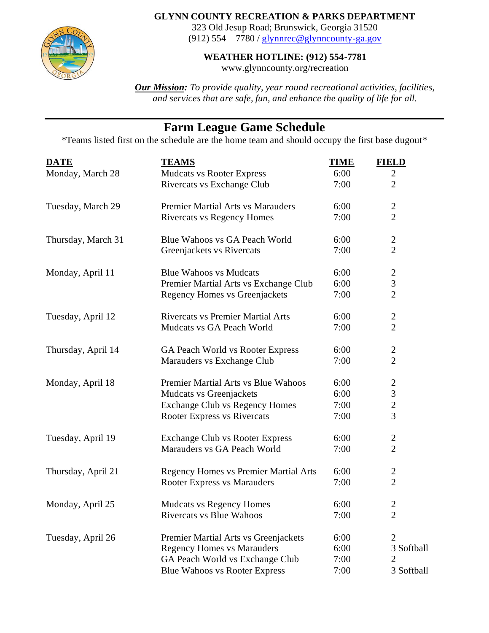

## **GLYNN COUNTY RECREATION & PARKS DEPARTMENT**

323 Old Jesup Road; Brunswick, Georgia 31520 (912)  $554 - 7780$  / [glynnrec@glynncounty-ga.gov](mailto:glynnrec@glynncounty-ga.gov)

## **WEATHER HOTLINE: (912) 554-7781**

www.glynncounty.org/recreation

*Our Mission: To provide quality, year round recreational activities, facilities, and services that are safe, fun, and enhance the quality of life for all.*

## **Farm League Game Schedule**

\*Teams listed first on the schedule are the home team and should occupy the first base dugout\*

| <b>DATE</b>        | <b>TEAMS</b>                                 | <b>TIME</b> | <b>FIELD</b>     |
|--------------------|----------------------------------------------|-------------|------------------|
| Monday, March 28   | <b>Mudcats vs Rooter Express</b>             | 6:00        | $\mathbf{2}$     |
|                    | Rivercats vs Exchange Club                   | 7:00        | $\overline{2}$   |
| Tuesday, March 29  | <b>Premier Martial Arts vs Marauders</b>     | 6:00        | $\overline{c}$   |
|                    | <b>Rivercats vs Regency Homes</b>            | 7:00        | $\overline{2}$   |
| Thursday, March 31 | Blue Wahoos vs GA Peach World                | 6:00        | $\boldsymbol{2}$ |
|                    | Greenjackets vs Rivercats                    | 7:00        | $\overline{2}$   |
| Monday, April 11   | <b>Blue Wahoos vs Mudcats</b>                | 6:00        | $\overline{c}$   |
|                    | Premier Martial Arts vs Exchange Club        | 6:00        | 3                |
|                    | Regency Homes vs Greenjackets                | 7:00        | $\overline{2}$   |
| Tuesday, April 12  | <b>Rivercats vs Premier Martial Arts</b>     | 6:00        | $\overline{c}$   |
|                    | Mudcats vs GA Peach World                    | 7:00        | $\overline{2}$   |
| Thursday, April 14 | GA Peach World vs Rooter Express             | 6:00        | $\overline{c}$   |
|                    | Marauders vs Exchange Club                   | 7:00        | $\overline{2}$   |
| Monday, April 18   | Premier Martial Arts vs Blue Wahoos          | 6:00        | $\boldsymbol{2}$ |
|                    | Mudcats vs Greenjackets                      | 6:00        | 3                |
|                    | <b>Exchange Club vs Regency Homes</b>        | 7:00        | $\overline{c}$   |
|                    | <b>Rooter Express vs Rivercats</b>           | 7:00        | $\overline{3}$   |
| Tuesday, April 19  | <b>Exchange Club vs Rooter Express</b>       | 6:00        | $\overline{c}$   |
|                    | Marauders vs GA Peach World                  | 7:00        | $\overline{2}$   |
| Thursday, April 21 | <b>Regency Homes vs Premier Martial Arts</b> | 6:00        | $\overline{c}$   |
|                    | <b>Rooter Express vs Marauders</b>           | 7:00        | $\overline{2}$   |
| Monday, April 25   | <b>Mudcats vs Regency Homes</b>              | 6:00        | $\overline{2}$   |
|                    | Rivercats vs Blue Wahoos                     | 7:00        | $\overline{c}$   |
| Tuesday, April 26  | Premier Martial Arts vs Greenjackets         | 6:00        | $\overline{2}$   |
|                    | <b>Regency Homes vs Marauders</b>            | 6:00        | 3 Softball       |
|                    | GA Peach World vs Exchange Club              | 7:00        | 2                |
|                    | <b>Blue Wahoos vs Rooter Express</b>         | 7:00        | 3 Softball       |